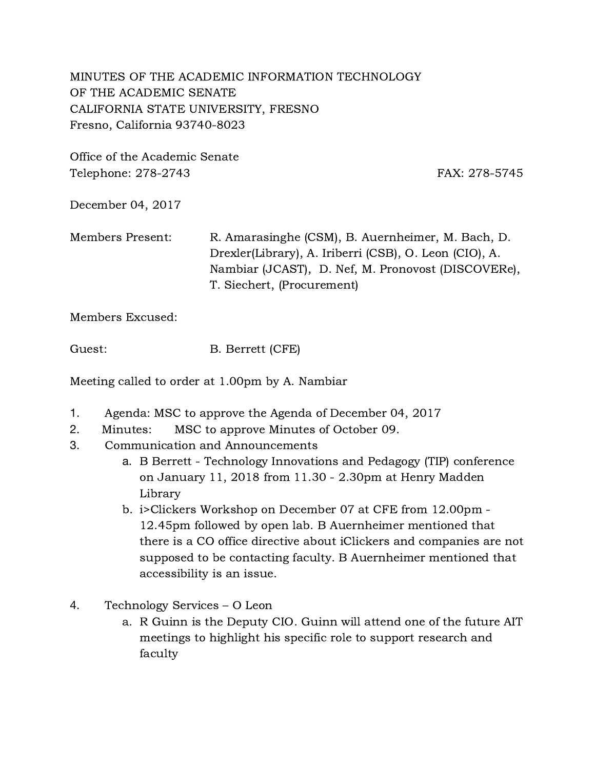MINUTES OF THE ACADEMIC INFORMATION TECHNOLOGY OF THE ACADEMIC SENATE CALIFORNIA STATE UNIVERSITY, FRESNO Fresno, California 93740-8023

Office of the Academic Senate Telephone: 278-2743 FAX: 278-5745

December 04, 2017

Members Present: R. Amarasinghe (CSM), B. Auernheimer, M. Bach, D. Drexler(Library), A. Iriberri (CSB), O. Leon (CIO), A. Nambiar (JCAST), D. Nef, M. Pronovost (DISCOVERe), T. Siechert, (Procurement)

Members Excused:

Guest: B. Berrett (CFE)

Meeting called to order at 1.00pm by A. Nambiar

- 1. Agenda: MSC to approve the Agenda of December 04, 2017
- 2. Minutes: MSC to approve Minutes of October 09.
- 3. Communication and Announcements
	- a. B Berrett Technology Innovations and Pedagogy (TIP) conference on January 11, 2018 from 11.30 - 2.30pm at Henry Madden Library
	- b. i>Clickers Workshop on December 07 at CFE from 12.00pm 12.45pm followed by open lab. B Auernheimer mentioned that there is a CO office directive about iClickers and companies are not supposed to be contacting faculty. B Auernheimer mentioned that accessibility is an issue.
- 4. Technology Services O Leon
	- a. R Guinn is the Deputy CIO. Guinn will attend one of the future AIT meetings to highlight his specific role to support research and faculty